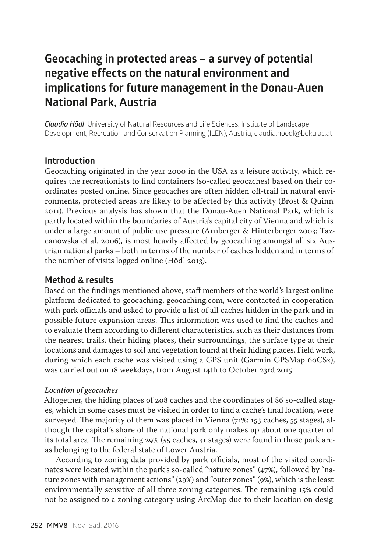# **Geocaching in protected areas – a survey of potential negative effects on the natural environment and implications for future management in the Donau-Auen National Park, Austria**

*Claudia Hödl*, University of Natural Resources and Life Sciences, Institute of Landscape Development, Recreation and Conservation Planning (ILEN), Austria, claudia.hoedl@boku.ac.at

# **Introduction**

Geocaching originated in the year 2000 in the USA as a leisure activity, which requires the recreationists to find containers (so-called geocaches) based on their coordinates posted online. Since geocaches are often hidden off-trail in natural environments, protected areas are likely to be affected by this activity (Brost & Quinn 2011). Previous analysis has shown that the Donau-Auen National Park, which is partly located within the boundaries of Austria's capital city of Vienna and which is under a large amount of public use pressure (Arnberger & Hinterberger 2003; Tazcanowska et al. 2006), is most heavily affected by geocaching amongst all six Austrian national parks – both in terms of the number of caches hidden and in terms of the number of visits logged online (Hödl 2013).

## **Method & results**

Based on the findings mentioned above, staff members of the world's largest online platform dedicated to geocaching, geocaching.com, were contacted in cooperation with park officials and asked to provide a list of all caches hidden in the park and in possible future expansion areas. This information was used to find the caches and to evaluate them according to different characteristics, such as their distances from the nearest trails, their hiding places, their surroundings, the surface type at their locations and damages to soil and vegetation found at their hiding places. Field work, during which each cache was visited using a GPS unit (Garmin GPSMap 60CSx), was carried out on 18 weekdays, from August 14th to October 23rd 2015.

#### *Location of geocaches*

Altogether, the hiding places of 208 caches and the coordinates of 86 so-called stages, which in some cases must be visited in order to find a cache's final location, were surveyed. The majority of them was placed in Vienna (71%: 153 caches, 55 stages), although the capital's share of the national park only makes up about one quarter of its total area. The remaining 29% (55 caches, 31 stages) were found in those park areas belonging to the federal state of Lower Austria.

According to zoning data provided by park officials, most of the visited coordinates were located within the park's so-called "nature zones" (47%), followed by "nature zones with management actions" (29%) and "outer zones" (9%), which is the least environmentally sensitive of all three zoning categories. The remaining 15% could not be assigned to a zoning category using ArcMap due to their location on desig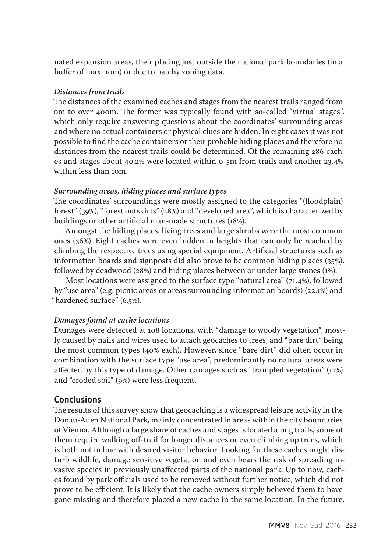nated expansion areas, their placing just outside the national park boundaries (in a buffer of max. 10m) or due to patchy zoning data.

## *Distances from trails*

The distances of the examined caches and stages from the nearest trails ranged from 0m to over 400m. The former was typically found with so-called "virtual stages", which only require answering questions about the coordinates' surrounding areas and where no actual containers or physical clues are hidden. In eight cases it was not possible to find the cache containers or their probable hiding places and therefore no distances from the nearest trails could be determined. Of the remaining 286 caches and stages about 40.2% were located within 0-5m from trails and another 23.4% within less than 10m.

### *Surrounding areas, hiding places and surface types*

The coordinates' surroundings were mostly assigned to the categories "(floodplain) forest" (39%), "forest outskirts" (28%) and "developed area", which is characterized by buildings or other artificial man-made structures (18%).

Amongst the hiding places, living trees and large shrubs were the most common ones (36%). Eight caches were even hidden in heights that can only be reached by climbing the respective trees using special equipment. Artificial structures such as information boards and signposts did also prove to be common hiding places (35%), followed by deadwood (28%) and hiding places between or under large stones (1%).

Most locations were assigned to the surface type "natural area" (71.4%), followed by "use area" (e.g. picnic areas or areas surrounding information boards) (22.1%) and "hardened surface" (6.5%).

## *Damages found at cache locations*

Damages were detected at 108 locations, with "damage to woody vegetation", mostly caused by nails and wires used to attach geocaches to trees, and "bare dirt" being the most common types (40% each). However, since "bare dirt" did often occur in combination with the surface type "use area", predominantly no natural areas were affected by this type of damage. Other damages such as "trampled vegetation" (11%) and "eroded soil" (9%) were less frequent.

# **Conclusions**

The results of this survey show that geocaching is a widespread leisure activity in the Donau-Auen National Park, mainly concentrated in areas within the city boundaries of Vienna. Although a large share of caches and stages is located along trails, some of them require walking off-trail for longer distances or even climbing up trees, which is both not in line with desired visitor behavior. Looking for these caches might disturb wildlife, damage sensitive vegetation and even bears the risk of spreading invasive species in previously unaffected parts of the national park. Up to now, caches found by park officials used to be removed without further notice, which did not prove to be efficient. It is likely that the cache owners simply believed them to have gone missing and therefore placed a new cache in the same location. In the future,